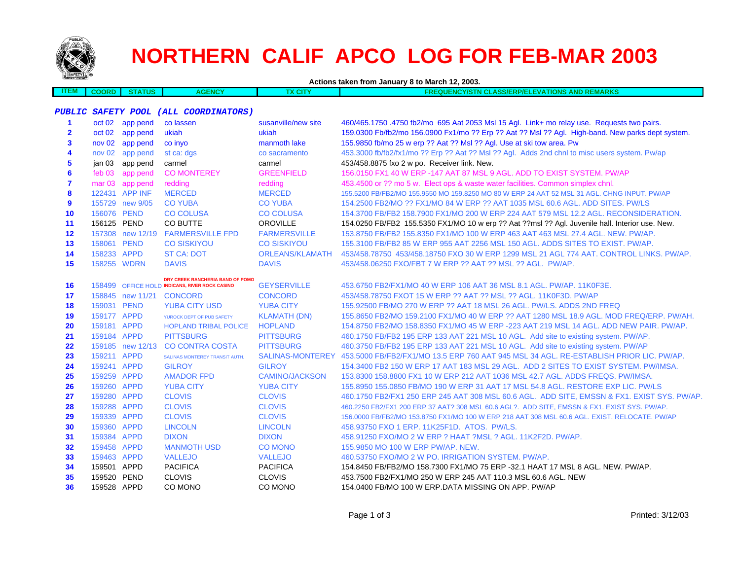

## **NORTHERN CALIF APCO LOG FOR FEB-MAR 2003**

| <b><i>Compy young the</i></b> |              |                  | Actions taken from January 8 to March 12, 2003. |                        |                                                                                                         |  |  |
|-------------------------------|--------------|------------------|-------------------------------------------------|------------------------|---------------------------------------------------------------------------------------------------------|--|--|
| <b>ITEM</b>                   | <b>COORD</b> | <b>STATUS</b>    | <b>AGENCY</b>                                   | <b>TX CITY</b>         | <b>FREQUENCY/STN CLASS/ERP/ELEVATIONS AND REMARKS</b>                                                   |  |  |
|                               |              |                  |                                                 |                        |                                                                                                         |  |  |
|                               |              |                  | PUBLIC SAFETY POOL (ALL COORDINATORS)           |                        |                                                                                                         |  |  |
| 1                             |              | oct 02 app pend  | co lassen                                       | susanville/new site    | 460/465.1750.4750 fb2/mo 695 Aat 2053 Msl 15 Agl. Link+ mo relay use. Requests two pairs.               |  |  |
| $\overline{\mathbf{2}}$       |              | oct 02 app pend  | ukiah                                           | ukiah                  | 159.0300 Fb/fb2/mo 156.0900 Fx1/mo ?? Erp ?? Aat ?? Msl ?? Agl. High-band. New parks dept system.       |  |  |
| 3                             |              | nov 02 app pend  | co inyo                                         | manmoth lake           | 155.9850 fb/mo 25 w erp ?? Aat ?? Msl ?? Agl. Use at ski tow area. Pw                                   |  |  |
| 4                             |              | nov 02 app pend  | st ca: dgs                                      | co sacramento          | 453.3000 fb/fb2/fx1/mo ?? Erp ?? Aat ?? Msl ?? Agl. Adds 2nd chnl to misc users system. Pw/ap           |  |  |
| 5                             |              | jan 03 app pend  | carmel                                          | carmel                 | 453/458.8875 fxo 2 w po. Receiver link. New.                                                            |  |  |
| 6                             | feb 03       | app pend         | <b>CO MONTEREY</b>                              | <b>GREENFIELD</b>      | 156,0150 FX1 40 W ERP -147 AAT 87 MSL 9 AGL, ADD TO EXIST SYSTEM, PW/AP                                 |  |  |
| $\overline{7}$                |              | mar 03 app pend  | redding                                         | redding                | 453.4500 or ?? mo 5 w. Elect ops & waste water facilities. Common simplex chnl.                         |  |  |
| 8                             |              | 122431 APP INF   | <b>MERCED</b>                                   | <b>MERCED</b>          | 155.5200 FB/FB2/MO 155.9550 MO 159.8250 MO 80 W ERP 24 AAT 52 MSL 31 AGL. CHNG INPUT. PW/AP             |  |  |
| 9                             |              | 155729 new 9/05  | <b>CO YUBA</b>                                  | <b>CO YUBA</b>         | 154,2500 FB2/MO ?? FX1/MO 84 W ERP ?? AAT 1035 MSL 60.6 AGL, ADD SITES, PW/LS                           |  |  |
| 10                            | 156076 PEND  |                  | <b>CO COLUSA</b>                                | <b>CO COLUSA</b>       | 154.3700 FB/FB2 158.7900 FX1/MO 200 W ERP 224 AAT 579 MSL 12.2 AGL, RECONSIDERATION.                    |  |  |
| 11                            | 156125 PEND  |                  | CO BUTTE                                        | <b>OROVILLE</b>        | 154.0250 FB/FB2 155.5350 FX1/MO 10 w erp ?? Aat ??msl ?? Agl. Juvenile hall. Interior use. New.         |  |  |
| 12                            |              | 157308 new 12/19 | <b>FARMERSVILLE FPD</b>                         | <b>FARMERSVILLE</b>    | 153.8750 FB/FB2 155.8350 FX1/MO 100 W ERP 463 AAT 463 MSL 27.4 AGL. NEW. PW/AP.                         |  |  |
| 13                            | 158061 PEND  |                  | <b>CO SISKIYOU</b>                              | <b>CO SISKIYOU</b>     | 155,3100 FB/FB2 85 W ERP 955 AAT 2256 MSL 150 AGL, ADDS SITES TO EXIST, PW/AP.                          |  |  |
| 14                            | 158233 APPD  |                  | <b>ST CA: DOT</b>                               | <b>ORLEANS/KLAMATH</b> | 453/458.78750 453/458.18750 FXO 30 W ERP 1299 MSL 21 AGL 774 AAT. CONTROL LINKS. PW/AP.                 |  |  |
| 15                            | 158255 WDRN  |                  | <b>DAVIS</b>                                    | <b>DAVIS</b>           | 453/458.06250 FXO/FBT 7 W ERP ?? AAT ?? MSL ?? AGL. PW/AP.                                              |  |  |
|                               |              |                  | DRY CREEK RANCHERIA BAND OF POMO                |                        |                                                                                                         |  |  |
| 16                            |              |                  | 158499 OFFICE HOLD INDICANS, RIVER ROCK CASINO  | <b>GEYSERVILLE</b>     | 453.6750 FB2/FX1/MO 40 W ERP 106 AAT 36 MSL 8.1 AGL, PW/AP, 11K0F3E.                                    |  |  |
| 17                            |              |                  | 158845 new 11/21 CONCORD                        | <b>CONCORD</b>         | 453/458.78750 FXOT 15 W ERP ?? AAT ?? MSL ?? AGL. 11K0F3D. PW/AP                                        |  |  |
| 18                            | 159031 PEND  |                  | <b>YUBA CITY USD</b>                            | <b>YUBA CITY</b>       | 155,92500 FB/MO 270 W ERP ?? AAT 18 MSL 26 AGL, PW/LS, ADDS 2ND FREQ                                    |  |  |
| 19                            | 159177 APPD  |                  | YUROCK DEPT OF PUB SAFETY                       | <b>KLAMATH (DN)</b>    | 155.8650 FB2/MO 159.2100 FX1/MO 40 W ERP ?? AAT 1280 MSL 18.9 AGL. MOD FREQ/ERP. PW/AH.                 |  |  |
| 20                            | 159181 APPD  |                  | <b>HOPLAND TRIBAL POLICE</b>                    | <b>HOPLAND</b>         | 154.8750 FB2/MO 158.8350 FX1/MO 45 W ERP -223 AAT 219 MSL 14 AGL. ADD NEW PAIR. PW/AP.                  |  |  |
| 21                            | 159184 APPD  |                  | <b>PITTSBURG</b>                                | <b>PITTSBURG</b>       | 460.1750 FB/FB2 195 ERP 133 AAT 221 MSL 10 AGL. Add site to existing system. PW/AP.                     |  |  |
| 22                            |              | 159185 new 12/13 | <b>CO CONTRA COSTA</b>                          | <b>PITTSBURG</b>       | 460.3750 FB/FB2 195 ERP 133 AAT 221 MSL 10 AGL. Add site to existing system. PW/AP                      |  |  |
| 23                            | 159211 APPD  |                  | SALINAS MONTEREY TRANSIT AUTH.                  |                        | SALINAS-MONTEREY 453.5000 FB/FB2/FX1/MO 13.5 ERP 760 AAT 945 MSL 34 AGL. RE-ESTABLISH PRIOR LIC. PW/AP. |  |  |
| 24                            | 159241 APPD  |                  | <b>GILROY</b>                                   | <b>GILROY</b>          | 154,3400 FB2 150 W ERP 17 AAT 183 MSL 29 AGL. ADD 2 SITES TO EXIST SYSTEM, PW/IMSA.                     |  |  |
| 25                            | 159259 APPD  |                  | <b>AMADOR FPD</b>                               | <b>CAMINO/JACKSON</b>  | 153.8300 158.8800 FX1 10 W ERP 212 AAT 1036 MSL 42.7 AGL. ADDS FREQS. PW/IMSA.                          |  |  |
| 26                            | 159260 APPD  |                  | <b>YUBA CITY</b>                                | <b>YUBA CITY</b>       | 155.8950 155.0850 FB/MO 190 W ERP 31 AAT 17 MSL 54.8 AGL. RESTORE EXP LIC. PW/LS                        |  |  |
| 27                            | 159280 APPD  |                  | <b>CLOVIS</b>                                   | <b>CLOVIS</b>          | 460.1750 FB2/FX1 250 ERP 245 AAT 308 MSL 60.6 AGL. ADD SITE, EMSSN & FX1. EXIST SYS. PW/AP.             |  |  |
| 28                            | 159288 APPD  |                  | <b>CLOVIS</b>                                   | <b>CLOVIS</b>          | 460.2250 FB2/FX1 200 ERP 37 AAT? 308 MSL 60.6 AGL?. ADD SITE, EMSSN & FX1, EXIST SYS, PW/AP,            |  |  |
| 29                            | 159339 APPD  |                  | <b>CLOVIS</b>                                   | <b>CLOVIS</b>          | 156,0000 FB/FB2/MO 153,8750 FX1/MO 100 W ERP 218 AAT 308 MSL 60.6 AGL. EXIST. RELOCATE. PW/AP           |  |  |
| 30                            | 159360 APPD  |                  | <b>LINCOLN</b>                                  | <b>LINCOLN</b>         | 458.93750 FXO 1 ERP. 11K25F1D. ATOS. PW/LS.                                                             |  |  |
| 31                            | 159384 APPD  |                  | <b>DIXON</b>                                    | <b>DIXON</b>           | 458.91250 FXO/MO 2 W ERP ? HAAT ?MSL ? AGL. 11K2F2D. PW/AP.                                             |  |  |
| 32                            | 159458 APPD  |                  | <b>MANMOTH USD</b>                              | <b>CO MONO</b>         | 155.9850 MO 100 W ERP PW/AP. NEW.                                                                       |  |  |
| 33                            | 159463 APPD  |                  | <b>VALLEJO</b>                                  | <b>VALLEJO</b>         | 460.53750 FXO/MO 2 W PO. IRRIGATION SYSTEM. PW/AP.                                                      |  |  |
| 34                            | 159501 APPD  |                  | <b>PACIFICA</b>                                 | <b>PACIFICA</b>        | 154.8450 FB/FB2/MO 158.7300 FX1/MO 75 ERP -32.1 HAAT 17 MSL 8 AGL, NEW, PW/AP,                          |  |  |
| 35                            | 159520 PEND  |                  | <b>CLOVIS</b>                                   | <b>CLOVIS</b>          | 453.7500 FB2/FX1/MO 250 W ERP 245 AAT 110.3 MSL 60.6 AGL. NEW                                           |  |  |
| 36                            | 159528 APPD  |                  | CO MONO                                         | CO MONO                | 154.0400 FB/MO 100 W ERP.DATA MISSING ON APP. PW/AP                                                     |  |  |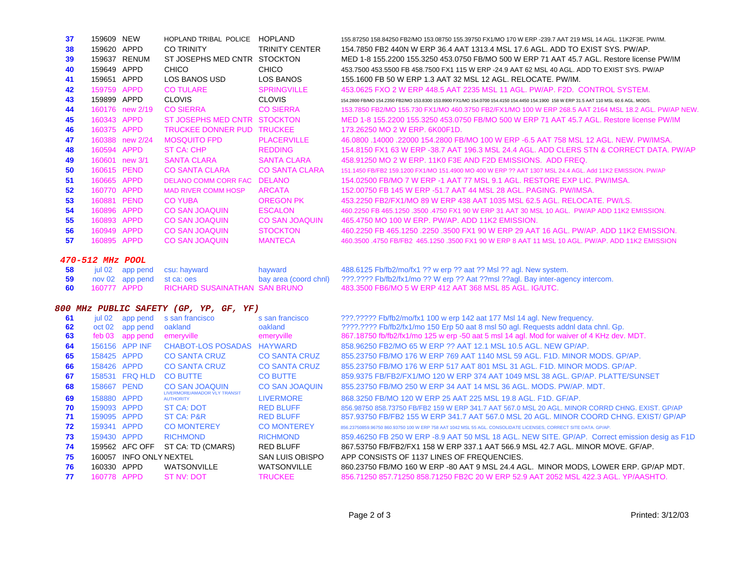| 37 | 159609 | <b>NEW</b>         | <b>HOPLAND TRIBAL POLICE</b> | <b>HOPLAND</b>        |
|----|--------|--------------------|------------------------------|-----------------------|
| 38 | 159620 | <b>APPD</b>        | CO TRINITY                   | <b>TRINITY CENTER</b> |
| 39 | 159637 | <b>RENUM</b>       | ST JOSEPHS MED CNTR          | <b>STOCKTON</b>       |
| 40 | 159649 | <b>APPD</b>        | CHICO                        | CHICO                 |
| 41 | 159651 | <b>APPD</b>        | LOS BANOS USD                | <b>LOS BANOS</b>      |
| 42 | 159759 | <b>APPD</b>        | <b>CO TULARE</b>             | <b>SPRINGVILLE</b>    |
| 43 | 159899 | <b>APPD</b>        | <b>CLOVIS</b>                | <b>CLOVIS</b>         |
| 44 | 160176 | new 2/19           | <b>CO SIERRA</b>             | <b>CO SIERRA</b>      |
| 45 | 160343 | <b>APPD</b>        | ST JOSEPHS MED CNTR          | <b>STOCKTON</b>       |
| 46 | 160375 | <b>APPD</b>        | <b>TRUCKEE DONNER PUD</b>    | <b>TRUCKEE</b>        |
| 47 | 160388 | new 2/24           | <b>MOSQUITO FPD</b>          | <b>PLACERVILLE</b>    |
| 48 | 160594 | <b>APPD</b>        | ST CA: CHP                   | <b>REDDING</b>        |
| 49 | 160601 | new <sub>3/1</sub> | SANTA CLARA                  | <b>SANTA CLARA</b>    |
| 50 | 160615 | <b>PEND</b>        | CO SANTA CLARA               | <b>CO SANTA CLARA</b> |
| 51 | 160665 | <b>APPD</b>        | <b>DELANO COMM CORR FAC</b>  | <b>DELANO</b>         |
| 52 | 160770 | <b>APPD</b>        | <b>MAD RIVER COMM HOSP</b>   | <b>ARCATA</b>         |
| 53 | 160881 | <b>PEND</b>        | <b>CO YUBA</b>               | <b>OREGON PK</b>      |
| 54 | 160896 | <b>APPD</b>        | <b>CO SAN JOAQUIN</b>        | <b>ESCALON</b>        |
| 55 | 160893 | <b>APPD</b>        | <b>CO SAN JOAQUIN</b>        | <b>CO SAN JOAQUIN</b> |
| 56 | 160949 | <b>APPD</b>        | <b>CO SAN JOAQUIN</b>        | <b>STOCKTON</b>       |
| 57 | 160895 | <b>APPD</b>        | <b>CO SAN JOAQUIN</b>        | <b>MANTECA</b>        |
|    |        |                    |                              |                       |

## **470-512 MHz POOL**

| 58  |             |                            | jul 02 app pend csu: hayward  | hayward             |
|-----|-------------|----------------------------|-------------------------------|---------------------|
| 59  |             | nov 02 app pend st ca: oes |                               | bay area (coord chn |
| -60 | 160777 APPD |                            | RICHARD SUSAINATHAN SAN BRUNO |                     |

## **800 MHz PUBLIC SAFETY (GP, YP, GF, YF)**

| 61 | jul 02            | app pend                | s san francisco                                         | s san francisco        |
|----|-------------------|-------------------------|---------------------------------------------------------|------------------------|
| 62 | oct <sub>02</sub> | app pend                | oakland                                                 | oakland                |
| 63 | $f$ eb 03         | app pend                | emeryville                                              | emeryville             |
| 64 | 156156            | <b>APP INF</b>          | <b>CHABOT-LOS POSADAS</b>                               | <b>HAYWARD</b>         |
| 65 | 158425            | <b>APPD</b>             | <b>CO SANTA CRUZ</b>                                    | <b>CO SANTA CRUZ</b>   |
| 66 | 158426            | <b>APPD</b>             | <b>CO SANTA CRUZ</b>                                    | <b>CO SANTA CRUZ</b>   |
| 67 | 158531            | <b>FRQ HLD</b>          | <b>CO BUTTE</b>                                         | <b>CO BUTTE</b>        |
| 68 | 158667            | <b>PEND</b>             | <b>CO SAN JOAQUIN</b>                                   | <b>CO SAN JOAQUIN</b>  |
| 69 | 158880            | <b>APPD</b>             | <b>LIVERMORE/AMADOR VLY TRANSIT</b><br><b>AUTHORITY</b> | <b>LIVERMORE</b>       |
| 70 | 159093            | <b>APPD</b>             | <b>ST CA: DOT</b>                                       | <b>RED BLUFF</b>       |
| 71 | 159095            | <b>APPD</b>             | <b>ST CA: P&amp;R</b>                                   | <b>RED BLUFF</b>       |
| 72 | 159341            | <b>APPD</b>             | <b>CO MONTEREY</b>                                      | <b>CO MONTEREY</b>     |
| 73 | 159430            | <b>APPD</b>             | <b>RICHMOND</b>                                         | <b>RICHMOND</b>        |
| 74 | 159562            | AFC OFF                 | ST CA: TD (CMARS)                                       | <b>RED BLUFF</b>       |
| 75 | 160057            | <b>INFO ONLY NEXTEL</b> |                                                         | <b>SAN LUIS OBISPC</b> |
| 76 | 160330            | <b>APPD</b>             | <b>WATSONVILLE</b>                                      | <b>WATSONVILLE</b>     |
| 77 | 160778            | <b>APPD</b>             | ST NV: DOT                                              | <b>TRUCKEE</b>         |

155.87250 158.84250 FB2/MO 153.08750 155.39750 FX1/MO 170 W ERP -239.7 AAT 219 MSL 14 AGL. 11K2F3E. PW/IM. 154.7850 FB2 440N W ERP 36.4 AAT 1313.4 MSL 17.6 AGL. ADD TO EXIST SYS. PW/AP. 159637 RENUM ST JOSEPHS MED CNTR STOCKTON MED 1-8 155.2200 155.3250 453.0750 FB/MO 500 W ERP 71 AAT 45.7 AGL. Restore license PW/IM 453.7500 453.5500 FB 458.7500 FX1 115 W ERP -24.9 AAT 62 MSL 40 AGL. ADD TO EXIST SYS. PW/AP 155.1600 FB 50 W ERP 1.3 AAT 32 MSL 12 AGL. RELOCATE. PW/IM.

453.0625 FXO 2 W ERP 448.5 AAT 2235 MSL 11 AGL. PW/AP. F2D. CONTROL SYSTEM.

 154.2800 FB/MO 154.2350 FB2/MO 153.8300 153.8900 FX1/MO 154.0700 154.4150 154.4450 154.1900 158 W ERP 31.5 AAT 110 MSL 60.6 AGL. MODS. 153.7850 FB2/MO 155.730 FX1/MO 460.3750 FB2/FX1/MO 100 W ERP 268.5 AAT 2164 MSL 18.2 AGL. PW/AP NEW. STOCKTON MED 1-8 155.2200 155.3250 453.0750 FB/MO 500 W ERP 71 AAT 45.7 AGL. Restore license PW/IM173.26250 MO 2 W ERP. 6K00F1D.

 46.0800 .14000 .22000 154.2800 FB/MO 100 W ERP -6.5 AAT 758 MSL 12 AGL. NEW. PW/IMSA. 154.8150 FX1 63 W ERP -38.7 AAT 196.3 MSL 24.4 AGL. ADD CLERS STN & CORRECT DATA. PW/AP 458.91250 MO 2 W ERP. 11K0 F3E AND F2D EMISSIONS. ADD FREQ.

 151.1450 FB/FB2 159.1200 FX1/MO 151.4900 MO 400 W ERP ?? AAT 1307 MSL 24.4 AGL. Add 11K2 EMISSION. PW/AP 154.02500 FB/MO 7 W ERP -1 AAT 77 MSL 9.1 AGL. RESTORE EXP LIC. PW/IMSA.

152.00750 FB 145 W ERP -51.7 AAT 44 MSL 28 AGL. PAGING. PW/IMSA.

 160881 PEND CO YUBA OREGON PK 453.2250 FB2/FX1/MO 89 W ERP 438 AAT 1035 MSL 62.5 AGL. RELOCATE. PW/LS. 460.2250 FB 465.1250 .3500 .4750 FX1 90 W ERP 31 AAT 30 MSL 10 AGL. PW/AP ADD 11K2 EMISSION. 465.4750 MO 100 W ERP. PW/AP. ADD 11K2 EMISSION.

 160949 APPD CO SAN JOAQUIN STOCKTON 460.2250 FB 465.1250 .2250 .3500 FX1 90 W ERP 29 AAT 16 AGL. PW/AP. ADD 11K2 EMISSION. 460.3500 .4750 FB/FB2 465.1250 .3500 FX1 90 W ERP 8 AAT 11 MSL 10 AGL. PW/AP. ADD 11K2 EMISSION

488.6125 Fb/fb2/mo/fx1 ?? w erp ?? aat ?? Msl ?? agl. New system. ???.???? Fb/fb2/fx1/mo ?? W erp ?? Aat ??msl ??agl. Bay inter-agency intercom. 483.3500 FB6/MO 5 W ERP 412 AAT 368 MSL 85 AGL. IG/UTC.

???.????? Fb/fb2/mo/fx1 100 w erp 142 aat 177 Msl 14 agl. New frequency. ????.???? Fb/fb2/fx1/mo 150 Erp 50 aat 8 msl 50 agl. Requests addnl data chnl. Gp. 867.18750 fb/fb2/fx1/mo 125 w erp -50 aat 5 msl 14 agl. Mod for waiver of 4 KHz dev. MDT. 858.96250 FB2/MO 65 W ERP ?? AAT 12.1 MSL 10.5 AGL. NEW GP/AP. 855.23750 FB/MO 176 W ERP 769 AAT 1140 MSL 59 AGL. F1D. MINOR MODS. GP/AP. 855.23750 FB/MO 176 W ERP 517 AAT 801 MSL 31 AGL. F1D. MINOR MODS. GP/AP. 859.9375 FB/FB2/FX1/MO 120 W ERP 374 AAT 1049 MSL 38 AGL. GP/AP. PLATTE/SUNSET 855.23750 FB/MO 250 W ERP 34 AAT 14 MSL 36 AGL. MODS. PW/AP. MDT.

868.3250 FB/MO 120 W ERP 25 AAT 225 MSL 19.8 AGL. F1D. GF/AP. 856.98750 858.73750 FB/FB2 159 W ERP 341.7 AAT 567.0 MSL 20 AGL. MINOR CORRD CHNG. EXIST. GP/AP857.93750 FB/FB2 155 W ERP 341.7 AAT 567.0 MSL 20 AGL. MINOR COORD CHNG. EXIST/ GP/AP 856.23750859.96750 860.93750 100 W ERP 758 AAT 1042 MSL 55 AGL. CONSOLIDATE LICENSES, CORRECT SITE DATA. GP/AP.

 859.46250 FB 250 W ERP -8.9 AAT 50 MSL 18 AGL. NEW SITE. GP/AP. Correct emission desig as F1D 867,53750 FB/FB2/FX1 158 W ERP 337.1 AAT 566.9 MSL 42.7 AGL. MINOR MOVE. GF/AP. O APP CONSISTS OF 1137 LINES OF FREQUENCIES.

860.23750 FB/MO 160 W ERP -80 AAT 9 MSL 24.4 AGL. MINOR MODS, LOWER ERP. GP/AP MDT. 160778 APPD ST NV: DOT TRUCKEE 856.71250 857.71250 858.71250 FB2C 20 W ERP 52.9 AAT 2052 MSL 422.3 AGL. YP/AASHTO.